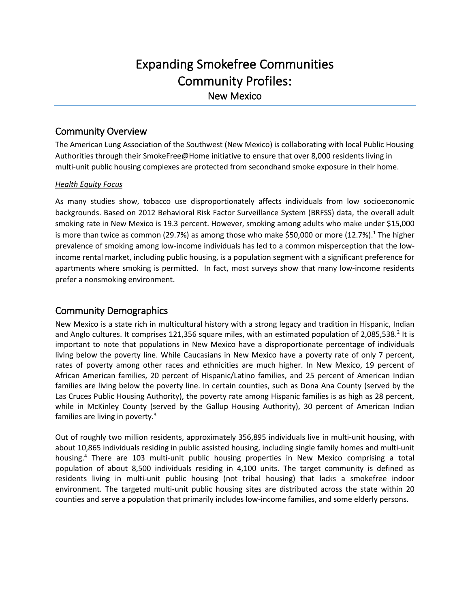# Expanding Smokefree Communities Community Profiles: New Mexico

### Community Overview

The American Lung Association of the Southwest (New Mexico) is collaborating with local Public Housing Authorities through their SmokeFree@Home initiative to ensure that over 8,000 residents living in multi-unit public housing complexes are protected from secondhand smoke exposure in their home.

#### *Health Equity Focus*

As many studies show, tobacco use disproportionately affects individuals from low socioeconomic backgrounds. Based on 2012 Behavioral Risk Factor Surveillance System (BRFSS) data, the overall adult smoking rate in New Mexico is 19.3 percent. However, smoking among adults who make under \$15,000 is more than twice as common (29.7%) as among those who make \$50,000 or more (12.7%).<sup>1</sup> The higher prevalence of smoking among low-income individuals has led to a common misperception that the lowincome rental market, including public housing, is a population segment with a significant preference for apartments where smoking is permitted. In fact, most surveys show that many low-income residents prefer a nonsmoking environment.

# Community Demographics

New Mexico is a state rich in multicultural history with a strong legacy and tradition in Hispanic, Indian and Anglo cultures. It comprises 121,356 square miles, with an estimated population of 2,085,538.<sup>2</sup> It is important to note that populations in New Mexico have a disproportionate percentage of individuals living below the poverty line. While Caucasians in New Mexico have a poverty rate of only 7 percent, rates of poverty among other races and ethnicities are much higher. In New Mexico, 19 percent of African American families, 20 percent of Hispanic/Latino families, and 25 percent of American Indian families are living below the poverty line. In certain counties, such as Dona Ana County (served by the Las Cruces Public Housing Authority), the poverty rate among Hispanic families is as high as 28 percent, while in McKinley County (served by the Gallup Housing Authority), 30 percent of American Indian families are living in poverty.<sup>3</sup>

Out of roughly two million residents, approximately 356,895 individuals live in multi-unit housing, with about 10,865 individuals residing in public assisted housing, including single family homes and multi-unit housing. <sup>4</sup> There are 103 multi-unit public housing properties in New Mexico comprising a total population of about 8,500 individuals residing in 4,100 units. The target community is defined as residents living in multi-unit public housing (not tribal housing) that lacks a smokefree indoor environment. The targeted multi-unit public housing sites are distributed across the state within 20 counties and serve a population that primarily includes low-income families, and some elderly persons.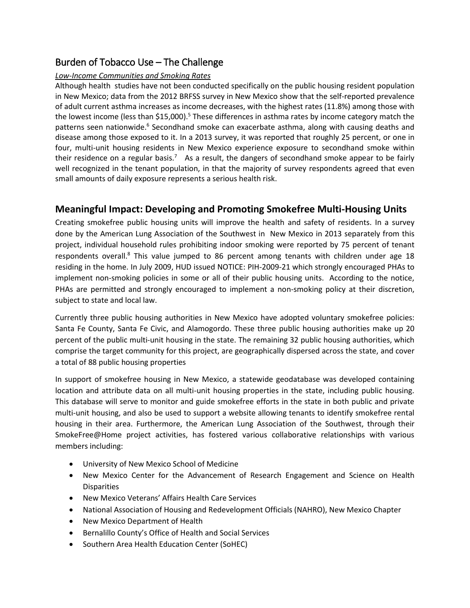# Burden of Tobacco Use – The Challenge

#### *Low-Income Communities and Smoking Rates*

Although health studies have not been conducted specifically on the public housing resident population in New Mexico; data from the 2012 BRFSS survey in New Mexico show that the self-reported prevalence of adult current asthma increases as income decreases, with the highest rates (11.8%) among those with the lowest income (less than \$15,000).<sup>5</sup> These differences in asthma rates by income category match the patterns seen nationwide.<sup>6</sup> Secondhand smoke can exacerbate asthma, along with causing deaths and disease among those exposed to it. In a 2013 survey, it was reported that roughly 25 percent, or one in four, multi-unit housing residents in New Mexico experience exposure to secondhand smoke within their residence on a regular basis.<sup>7</sup> As a result, the dangers of secondhand smoke appear to be fairly well recognized in the tenant population, in that the majority of survey respondents agreed that even small amounts of daily exposure represents a serious health risk.

## **Meaningful Impact: Developing and Promoting Smokefree Multi-Housing Units**

Creating smokefree public housing units will improve the health and safety of residents. In a survey done by the American Lung Association of the Southwest in New Mexico in 2013 separately from this project, individual household rules prohibiting indoor smoking were reported by 75 percent of tenant respondents overall.<sup>8</sup> This value jumped to 86 percent among tenants with children under age 18 residing in the home. In July 2009, HUD issued NOTICE: PIH-2009-21 which strongly encouraged PHAs to implement non-smoking policies in some or all of their public housing units. According to the notice, PHAs are permitted and strongly encouraged to implement a non-smoking policy at their discretion, subject to state and local law.

Currently three public housing authorities in New Mexico have adopted voluntary smokefree policies: Santa Fe County, Santa Fe Civic, and Alamogordo. These three public housing authorities make up 20 percent of the public multi-unit housing in the state. The remaining 32 public housing authorities, which comprise the target community for this project, are geographically dispersed across the state, and cover a total of 88 public housing properties

In support of smokefree housing in New Mexico, a statewide geodatabase was developed containing location and attribute data on all multi-unit housing properties in the state, including public housing. This database will serve to monitor and guide smokefree efforts in the state in both public and private multi-unit housing, and also be used to support a website allowing tenants to identify smokefree rental housing in their area. Furthermore, the American Lung Association of the Southwest, through their SmokeFree@Home project activities, has fostered various collaborative relationships with various members including:

- University of New Mexico School of Medicine
- New Mexico Center for the Advancement of Research Engagement and Science on Health **Disparities**
- New Mexico Veterans' Affairs Health Care Services
- National Association of Housing and Redevelopment Officials (NAHRO), New Mexico Chapter
- New Mexico Department of Health
- Bernalillo County's Office of Health and Social Services
- Southern Area Health Education Center (SoHEC)